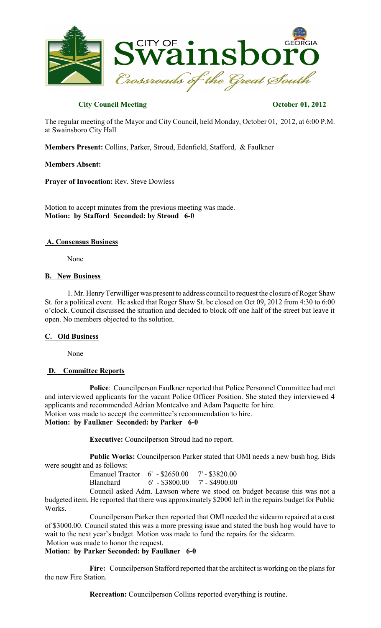

# **City Council Meeting Contract Contract Contract Contract Contract Contract Contract Contract Contract Contract Contract Contract Contract Contract Contract Contract Contract Contract Contract Contract Contract Contract Co**

The regular meeting of the Mayor and City Council, held Monday, October 01, 2012, at 6:00 P.M. at Swainsboro City Hall

**Members Present:** Collins, Parker, Stroud, Edenfield, Stafford, & Faulkner

### **Members Absent:**

**Prayer of Invocation:** Rev. Steve Dowless

Motion to accept minutes from the previous meeting was made. **Motion: by Stafford Seconded: by Stroud 6-0**

### **A. Consensus Business**

None

### **B. New Business**

1. Mr. HenryTerwilliger was present to address council to request the closure of Roger Shaw St. for a political event. He asked that Roger Shaw St. be closed on Oct 09, 2012 from 4:30 to 6:00 o'clock. Council discussed the situation and decided to block off one half of the street but leave it open. No members objected to ths solution.

# **C. Old Business**

None

# **D. Committee Reports**

**Police**: Councilperson Faulkner reported that Police Personnel Committee had met and interviewed applicants for the vacant Police Officer Position. She stated they interviewed 4 applicants and recommended Adrian Montealvo and Adam Paquette for hire. Motion was made to accept the committee's recommendation to hire. **Motion: by Faulkner Seconded: by Parker 6-0**

**Executive:** Councilperson Stroud had no report.

**Public Works:** Councilperson Parker stated that OMI needs a new bush hog. Bids were sought and as follows:

Emanuel Tractor 6' - \$2650.00 7' - \$3820.00<br>Blanchard 6' - \$3800.00 7' - \$4900.00 Blanchard 6' - \$3800.00

Council asked Adm. Lawson where we stood on budget because this was not a budgeted item. He reported that there was approximately \$2000 left in the repairs budget for Public Works.

Councilperson Parker then reported that OMI needed the sidearm repaired at a cost of \$3000.00. Council stated this was a more pressing issue and stated the bush hog would have to wait to the next year's budget. Motion was made to fund the repairs for the sidearm.

Motion was made to honor the request.

# **Motion: by Parker Seconded: by Faulkner 6-0**

Fire: Councilperson Stafford reported that the architect is working on the plans for the new Fire Station.

**Recreation:** Councilperson Collins reported everything is routine.